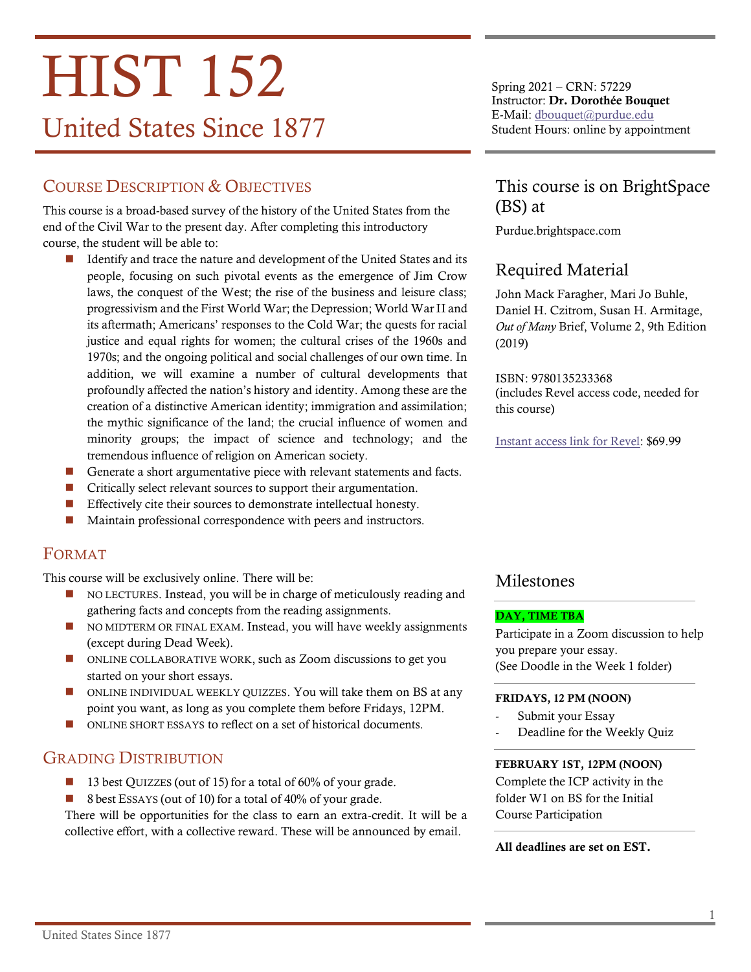# **HIST 152** United States Since 1877

# COURSE DESCRIPTION & OBJECTIVES

This course is a broad-based survey of the history of the United States from the end of the Civil War to the present day. After completing this introductory course, the student will be able to:

- Identify and trace the nature and development of the United States and its people, focusing on such pivotal events as the emergence of Jim Crow laws, the conquest of the West; the rise of the business and leisure class; progressivism and the First World War; the Depression; World War II and its aftermath; Americans' responses to the Cold War; the quests for racial justice and equal rights for women; the cultural crises of the 1960s and 1970s; and the ongoing political and social challenges of our own time. In addition, we will examine a number of cultural developments that profoundly affected the nation's history and identity. Among these are the creation of a distinctive American identity; immigration and assimilation; the mythic significance of the land; the crucial influence of women and minority groups; the impact of science and technology; and the tremendous influence of religion on American society.
- Generate a short argumentative piece with relevant statements and facts.
- Critically select relevant sources to support their argumentation.
- Effectively cite their sources to demonstrate intellectual honesty.
- Maintain professional correspondence with peers and instructors.

## FORMAT

This course will be exclusively online. There will be:

- NO LECTURES. Instead, you will be in charge of meticulously reading and gathering facts and concepts from the reading assignments.
- NO MIDTERM OR FINAL EXAM. Instead, you will have weekly assignments (except during Dead Week).
- ONLINE COLLABORATIVE WORK, such as Zoom discussions to get you started on your short essays.
- ONLINE INDIVIDUAL WEEKLY QUIZZES. You will take them on BS at any point you want, as long as you complete them before Fridays, 12PM.
- ONLINE SHORT ESSAYS to reflect on a set of historical documents.

## GRADING DISTRIBUTION

- 13 best QUIZZES (out of 15) for a total of 60% of your grade.
- 8 best ESSAYS (out of 10) for a total of 40% of your grade.

There will be opportunities for the class to earn an extra-credit. It will be a collective effort, with a collective reward. These will be announced by email.

Spring 2021 – CRN: 57229 Instructor: Dr. Dorothée Bouquet E-Mail: [dbouquet@purdue.edu](mailto:dbouquet@purdue.edu?subject=HIST%20104) Student Hours: online by appointment

# This course is on BrightSpace (BS) at

Purdue.brightspace.com

# Required Material

John Mack Faragher, Mari Jo Buhle, Daniel H. Czitrom, Susan H. Armitage, *Out of Many* Brief, Volume 2, 9th Edition (2019)

ISBN: 9780135233368 (includes Revel access code, needed for this course)

[Instant access link for Revel:](https://www.pearson.com/store/p/out-of-many-a-history-of-the-american-people-combined-volume/P100002498544/9780135181041) \$69.99

## Milestones

#### DAY, TIME TBA

Participate in a Zoom discussion to help you prepare your essay. (See Doodle in the Week 1 folder)

#### FRIDAYS, 12 PM (NOON)

- Submit your Essay
- Deadline for the Weekly Quiz

#### FEBRUARY 1ST, 12PM (NOON)

Complete the ICP activity in the folder W1 on BS for the Initial Course Participation

#### All deadlines are set on EST.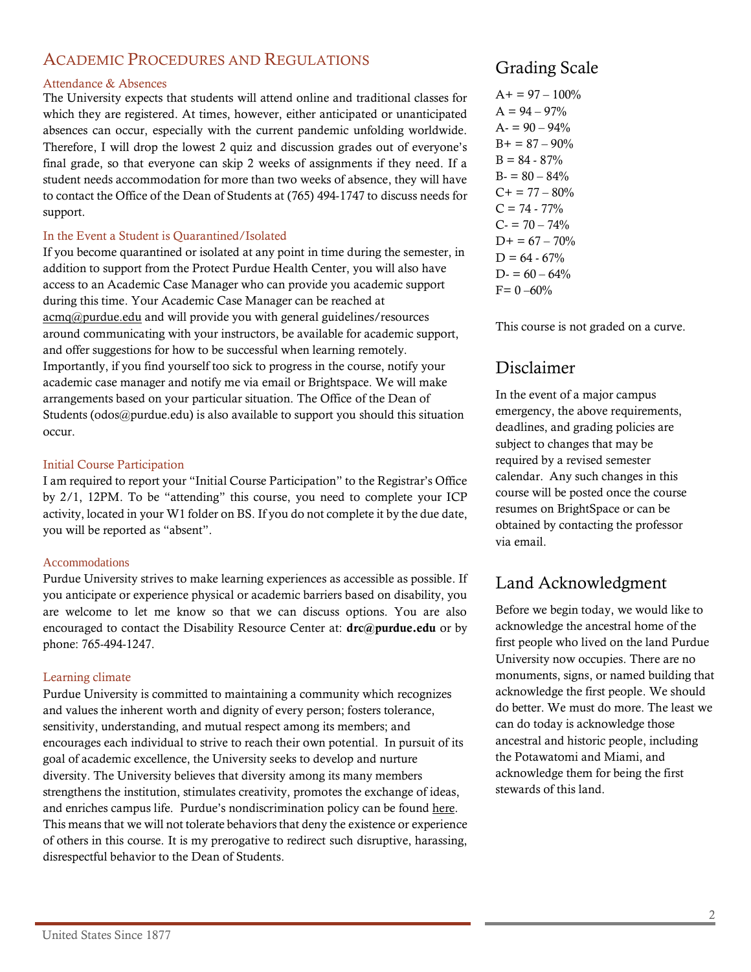# ACADEMIC PROCEDURES AND REGULATIONS

#### Attendance & Absences

The University expects that students will attend online and traditional classes for which they are registered. At times, however, either anticipated or unanticipated absences can occur, especially with the current pandemic unfolding worldwide. Therefore, I will drop the lowest 2 quiz and discussion grades out of everyone's final grade, so that everyone can skip 2 weeks of assignments if they need. If a student needs accommodation for more than two weeks of absence, they will have to contact the Office of the Dean of Students at (765) 494-1747 to discuss needs for support.

#### In the Event a Student is Quarantined/Isolated

If you become quarantined or isolated at any point in time during the semester, in addition to support from the Protect Purdue Health Center, you will also have access to an Academic Case Manager who can provide you academic support during this time. Your Academic Case Manager can be reached at [acmq@purdue.edu](mailto:acmq@purdue.edu) and will provide you with general guidelines/resources around communicating with your instructors, be available for academic support, and offer suggestions for how to be successful when learning remotely. Importantly, if you find yourself too sick to progress in the course, notify your academic case manager and notify me via email or Brightspace. We will make arrangements based on your particular situation. The Office of the Dean of Students (odos@purdue.edu) is also available to support you should this situation occur.

#### Initial Course Participation

I am required to report your "Initial Course Participation" to the Registrar's Office by 2/1, 12PM. To be "attending" this course, you need to complete your ICP activity, located in your W1 folder on BS. If you do not complete it by the due date, you will be reported as "absent".

#### Accommodations

Purdue University strives to make learning experiences as accessible as possible. If you anticipate or experience physical or academic barriers based on disability, you are welcome to let me know so that we can discuss options. You are also encouraged to contact the Disability Resource Center at:  $\text{drc}(\hat{a})$  purdue.edu or by phone: 765-494-1247.

#### Learning climate

Purdue University is committed to maintaining a community which recognizes and values the inherent worth and dignity of every person; fosters tolerance, sensitivity, understanding, and mutual respect among its members; and encourages each individual to strive to reach their own potential. In pursuit of its goal of academic excellence, the University seeks to develop and nurture diversity. The University believes that diversity among its many members strengthens the institution, stimulates creativity, promotes the exchange of ideas, and enriches campus life. Purdue's nondiscrimination policy can be foun[d here.](http://www.purdue.edu/purdue/ea_eou_statement.html) This means that we will not tolerate behaviors that deny the existence or experience of others in this course. It is my prerogative to redirect such disruptive, harassing, disrespectful behavior to the Dean of Students.

# Grading Scale

 $A+= 97 - 100\%$  $A = 94 - 97\%$  $A = 90 - 94\%$  $B+=87-90%$  $B = 84 - 87%$  $B = 80 - 84%$  $C+= 77-80%$  $C = 74 - 77\%$  $C = 70 - 74%$  $D+= 67 - 70%$  $D = 64 - 67\%$  $D = 60 - 64\%$  $F= 0 - 60\%$ 

This course is not graded on a curve.

# Disclaimer

In the event of a major campus emergency, the above requirements, deadlines, and grading policies are subject to changes that may be required by a revised semester calendar. Any such changes in this course will be posted once the course resumes on BrightSpace or can be obtained by contacting the professor via email.

# Land Acknowledgment

Before we begin today, we would like to acknowledge the ancestral home of the first people who lived on the land Purdue University now occupies. There are no monuments, signs, or named building that acknowledge the first people. We should do better. We must do more. The least we can do today is acknowledge those ancestral and historic people, including the Potawatomi and Miami, and acknowledge them for being the first stewards of this land.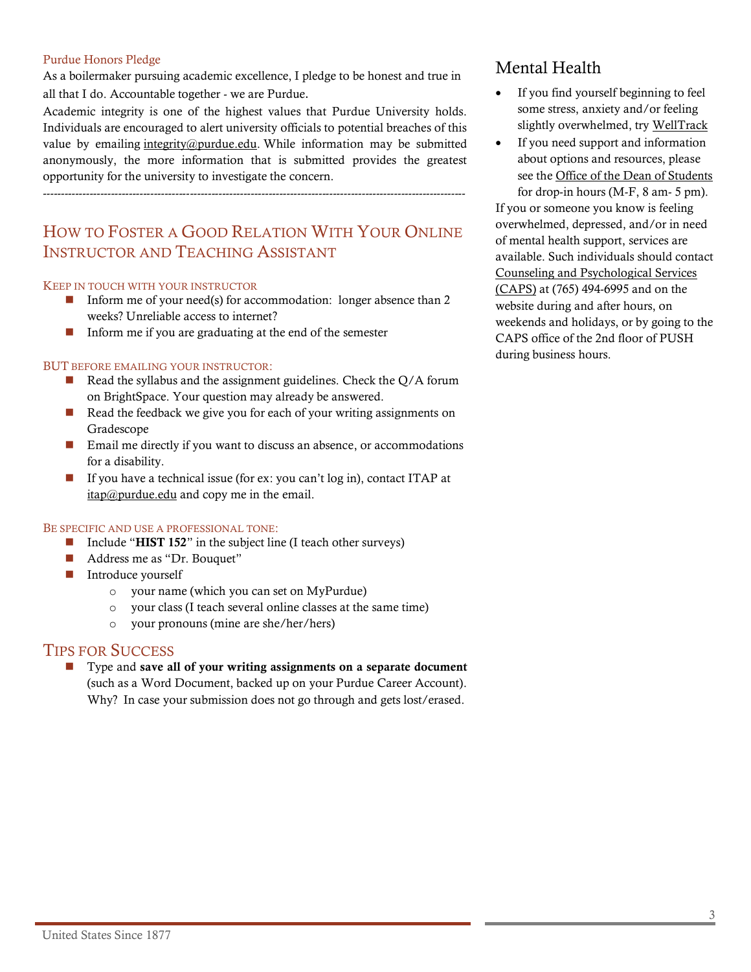#### Purdue Honors Pledge

As a boilermaker pursuing academic excellence, I pledge to be honest and true in all that I do. Accountable together - we are Purdue.

Academic integrity is one of the highest values that Purdue University holds. Individuals are encouraged to alert university officials to potential breaches of this value by emailing [integrity@purdue.edu.](mailto:integrity@purdue.edu) While information may be submitted anonymously, the more information that is submitted provides the greatest opportunity for the university to investigate the concern.

----------------------------------------------------------------------------------------------------------------------

# HOW TO FOSTER A GOOD RELATION WITH YOUR ONLINE INSTRUCTOR AND TEACHING ASSISTANT

#### KEEP IN TOUCH WITH YOUR INSTRUCTOR

- $\blacksquare$  Inform me of your need(s) for accommodation: longer absence than 2 weeks? Unreliable access to internet?
- $\blacksquare$  Inform me if you are graduating at the end of the semester

#### BUT BEFORE EMAILING YOUR INSTRUCTOR:

- $\blacksquare$  Read the syllabus and the assignment guidelines. Check the Q/A forum on BrightSpace. Your question may already be answered.
- $\blacksquare$  Read the feedback we give you for each of your writing assignments on Gradescope
- Email me directly if you want to discuss an absence, or accommodations for a disability.
- If you have a technical issue (for ex: you can't log in), contact ITAP at  $itap@purdue.edu$  and copy me in the email.

#### BE SPECIFIC AND USE A PROFESSIONAL TONE:

- Include "HIST 152" in the subject line (I teach other surveys)
- Address me as "Dr. Bouquet"
- Introduce yourself
	- o your name (which you can set on MyPurdue)
	- o your class (I teach several online classes at the same time)
	- o your pronouns (mine are she/her/hers)

#### TIPS FOR SUCCESS

■ Type and save all of your writing assignments on a separate document (such as a Word Document, backed up on your Purdue Career Account). Why? In case your submission does not go through and gets lost/erased.

# Mental Health

- If you find yourself beginning to feel some stress, anxiety and/or feeling slightly overwhelmed, try [WellTrack](https://purdue.welltrack.com/)
- If you need support and information about options and resources, please see the [Office of the Dean of Students](http://www.purdue.edu/odos) for drop-in hours (M-F, 8 am- 5 pm).

If you or someone you know is feeling overwhelmed, depressed, and/or in need of mental health support, services are available. Such individuals should contact [Counseling and Psychological Services](http://www.purdue.edu/caps/)  [\(CAPS\)](http://www.purdue.edu/caps/) at (765) 494-6995 and on the website during and after hours, on weekends and holidays, or by going to the CAPS office of the 2nd floor of PUSH during business hours.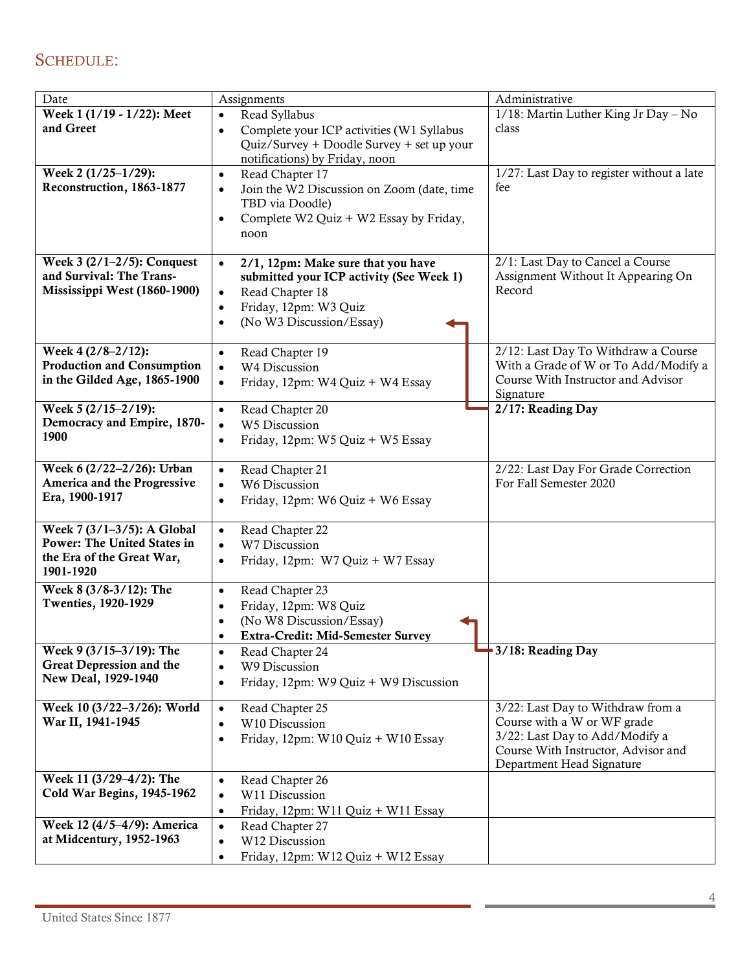# SCHEDULE:

| Date                               | Assignments                                             | Administrative                            |
|------------------------------------|---------------------------------------------------------|-------------------------------------------|
| Week 1 (1/19 - 1/22): Meet         | Read Syllabus<br>$\bullet$                              | 1/18: Martin Luther King Jr Day - No      |
| and Greet                          | Complete your ICP activities (W1 Syllabus<br>$\bullet$  | class                                     |
|                                    | Quiz/Survey + Doodle Survey + set up your               |                                           |
|                                    | notifications) by Friday, noon                          |                                           |
| Week 2 (1/25-1/29):                | Read Chapter 17<br>$\bullet$                            | 1/27: Last Day to register without a late |
| Reconstruction, 1863-1877          | Join the W2 Discussion on Zoom (date, time<br>$\bullet$ | fee                                       |
|                                    | TBD via Doodle)                                         |                                           |
|                                    | Complete W2 Quiz + W2 Essay by Friday,<br>$\bullet$     |                                           |
|                                    | noon                                                    |                                           |
|                                    |                                                         |                                           |
| Week $3(2/1-2/5)$ : Conquest       | 2/1, 12pm: Make sure that you have<br>$\bullet$         | 2/1: Last Day to Cancel a Course          |
| and Survival: The Trans-           | submitted your ICP activity (See Week 1)                | Assignment Without It Appearing On        |
| Mississippi West (1860-1900)       | Read Chapter 18<br>$\bullet$                            | Record                                    |
|                                    | Friday, 12pm: W3 Quiz<br>$\bullet$                      |                                           |
|                                    | (No W3 Discussion/Essay)<br>$\bullet$                   |                                           |
| Week 4 (2/8-2/12):                 | Read Chapter 19<br>$\bullet$                            | 2/12: Last Day To Withdraw a Course       |
| <b>Production and Consumption</b>  | W4 Discussion<br>$\bullet$                              | With a Grade of W or To Add/Modify a      |
| in the Gilded Age, 1865-1900       | Friday, 12pm: W4 Quiz + W4 Essay<br>$\bullet$           | Course With Instructor and Advisor        |
|                                    |                                                         | Signature                                 |
| Week 5 (2/15-2/19):                | Read Chapter 20<br>$\bullet$                            | 2/17: Reading Day                         |
| Democracy and Empire, 1870-        | W5 Discussion<br>$\bullet$                              |                                           |
| 1900                               | Friday, 12pm: W5 Quiz + W5 Essay<br>$\bullet$           |                                           |
|                                    |                                                         |                                           |
| Week 6 (2/22-2/26): Urban          | Read Chapter 21<br>$\bullet$                            | 2/22: Last Day For Grade Correction       |
| America and the Progressive        | W6 Discussion<br>$\bullet$                              | For Fall Semester 2020                    |
| Era, 1900-1917                     | Friday, 12pm: W6 Quiz + W6 Essay<br>$\bullet$           |                                           |
| Week 7 (3/1-3/5): A Global         | Read Chapter 22                                         |                                           |
| <b>Power: The United States in</b> | $\bullet$<br>W7 Discussion<br>$\bullet$                 |                                           |
| the Era of the Great War,          | Friday, 12pm: W7 Quiz + W7 Essay<br>$\bullet$           |                                           |
| 1901-1920                          |                                                         |                                           |
| Week 8 (3/8-3/12): The             | Read Chapter 23<br>$\bullet$                            |                                           |
| <b>Twenties, 1920-1929</b>         | Friday, 12pm: W8 Quiz<br>$\bullet$                      |                                           |
|                                    | (No W8 Discussion/Essay)<br>$\bullet$                   |                                           |
|                                    | <b>Extra-Credit: Mid-Semester Survey</b><br>$\bullet$   |                                           |
| Week 9 (3/15-3/19): The            | Read Chapter 24<br>$\bullet$                            | 3/18: Reading Day                         |
| <b>Great Depression and the</b>    | W9 Discussion<br>$\bullet$                              |                                           |
| New Deal, 1929-1940                | Friday, 12pm: W9 Quiz + W9 Discussion<br>$\bullet$      |                                           |
| Week 10 (3/22-3/26): World         |                                                         | 3/22: Last Day to Withdraw from a         |
| War II, 1941-1945                  | Read Chapter 25<br>$\bullet$<br>W10 Discussion          | Course with a W or WF grade               |
|                                    | $\bullet$                                               | 3/22: Last Day to Add/Modify a            |
|                                    | Friday, 12pm: W10 Quiz + W10 Essay<br>$\bullet$         | Course With Instructor, Advisor and       |
|                                    |                                                         | Department Head Signature                 |
| Week 11 (3/29-4/2): The            | Read Chapter 26<br>$\bullet$                            |                                           |
| Cold War Begins, 1945-1962         | W11 Discussion<br>$\bullet$                             |                                           |
|                                    | Friday, 12pm: W11 Quiz + W11 Essay<br>$\bullet$         |                                           |
| Week 12 (4/5-4/9): America         | Read Chapter 27<br>$\bullet$                            |                                           |
| at Midcentury, 1952-1963           | W12 Discussion<br>$\bullet$                             |                                           |
|                                    | Friday, 12pm: W12 Quiz + W12 Essay<br>$\bullet$         |                                           |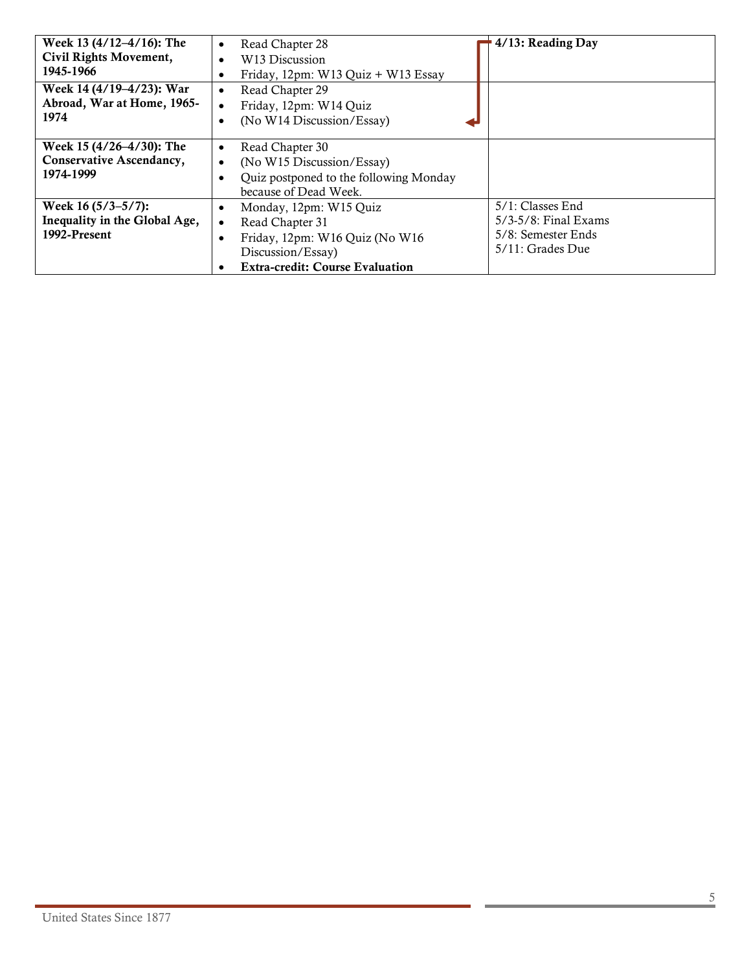| Week 13 (4/12-4/16): The<br>Civil Rights Movement,<br>1945-1966        | Read Chapter 28<br>$\bullet$<br>W <sub>13</sub> Discussion<br>$\bullet$<br>Friday, 12pm: $W13$ Quiz + W13 Essay<br>٠                                                                   | 4/13: Reading Day                                                                     |
|------------------------------------------------------------------------|----------------------------------------------------------------------------------------------------------------------------------------------------------------------------------------|---------------------------------------------------------------------------------------|
| Week 14 (4/19–4/23): War<br>Abroad, War at Home, 1965-<br>1974         | Read Chapter 29<br>$\bullet$<br>Friday, 12pm: W14 Quiz<br>$\bullet$<br>(No W14 Discussion/Essay)<br>٠                                                                                  |                                                                                       |
| Week 15 (4/26–4/30): The<br>Conservative Ascendancy,<br>1974-1999      | Read Chapter 30<br>$\bullet$<br>(No W15 Discussion/Essay)<br>$\bullet$<br>Quiz postponed to the following Monday<br>because of Dead Week.                                              |                                                                                       |
| Week 16 $(5/3-5/7)$ :<br>Inequality in the Global Age,<br>1992-Present | Monday, 12pm: W15 Quiz<br>$\bullet$<br>Read Chapter 31<br>٠<br>Friday, 12pm: W16 Quiz (No W16<br>$\bullet$<br>Discussion/Essay)<br><b>Extra-credit: Course Evaluation</b><br>$\bullet$ | 5/1: Classes End<br>$5/3-5/8$ : Final Exams<br>5/8: Semester Ends<br>5/11: Grades Due |

**COL**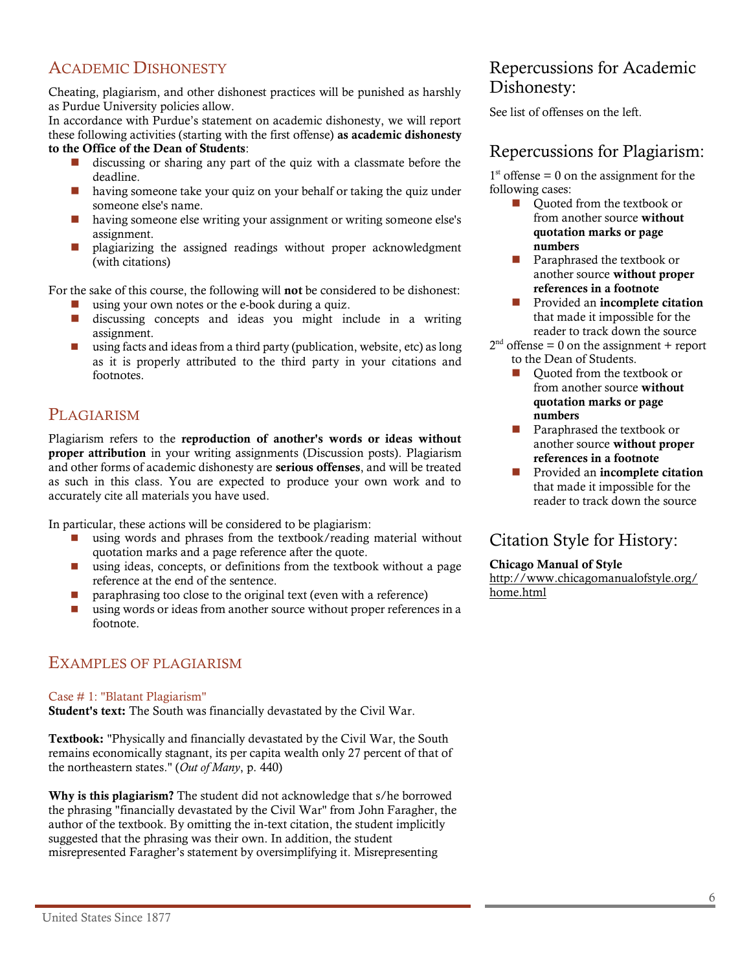# ACADEMIC DISHONESTY

Cheating, plagiarism, and other dishonest practices will be punished as harshly as Purdue University policies allow.

In accordance with Purdue's statement on academic dishonesty, we will report these following activities (starting with the first offense) as academic dishonesty to the Office of the Dean of Students:

- discussing or sharing any part of the quiz with a classmate before the deadline.
- having someone take your quiz on your behalf or taking the quiz under someone else's name.
- having someone else writing your assignment or writing someone else's assignment.
- plagiarizing the assigned readings without proper acknowledgment (with citations)

For the sake of this course, the following will not be considered to be dishonest:

- $\Box$  using your own notes or the e-book during a quiz.
- discussing concepts and ideas you might include in a writing assignment.
- using facts and ideas from a third party (publication, website, etc) as long as it is properly attributed to the third party in your citations and footnotes.

# **PLAGIARISM**

Plagiarism refers to the reproduction of another's words or ideas without proper attribution in your writing assignments (Discussion posts). Plagiarism and other forms of academic dishonesty are serious offenses, and will be treated as such in this class. You are expected to produce your own work and to accurately cite all materials you have used.

In particular, these actions will be considered to be plagiarism:

- using words and phrases from the textbook/reading material without quotation marks and a page reference after the quote.
- using ideas, concepts, or definitions from the textbook without a page reference at the end of the sentence.
- paraphrasing too close to the original text (even with a reference)
- using words or ideas from another source without proper references in a footnote.

## EXAMPLES OF PLAGIARISM

#### Case # 1: "Blatant Plagiarism"

Student's text: The South was financially devastated by the Civil War.

Textbook: "Physically and financially devastated by the Civil War, the South remains economically stagnant, its per capita wealth only 27 percent of that of the northeastern states." (*Out of Many*, p. 440)

Why is this plagiarism? The student did not acknowledge that s/he borrowed the phrasing "financially devastated by the Civil War" from John Faragher, the author of the textbook. By omitting the in-text citation, the student implicitly suggested that the phrasing was their own. In addition, the student misrepresented Faragher's statement by oversimplifying it. Misrepresenting

# Repercussions for Academic Dishonesty:

See list of offenses on the left.

# Repercussions for Plagiarism:

 $1<sup>st</sup>$  offense = 0 on the assignment for the following cases:

- Quoted from the textbook or from another source without quotation marks or page numbers
- Paraphrased the textbook or another source without proper references in a footnote
- Provided an incomplete citation that made it impossible for the reader to track down the source
- $2<sup>nd</sup>$  offense = 0 on the assignment + report to the Dean of Students.
	- ◼ Quoted from the textbook or from another source without quotation marks or page numbers
	- Paraphrased the textbook or another source without proper references in a footnote
	- Provided an incomplete citation that made it impossible for the reader to track down the source

Citation Style for History:

#### Chicago Manual of Style

[http://www.chicagomanualofstyle.org/](http://www.chicagomanualofstyle.org/home.html) [home.html](http://www.chicagomanualofstyle.org/home.html)